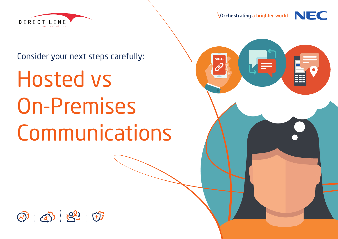

**NEC** 

 $c^{2}$ 



### Consider your next steps carefully:

# Hosted vs On-Premises Communications

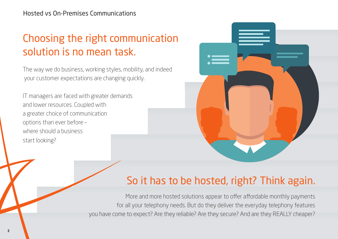## Choosing the right communication solution is no mean task.

The way we do business, working styles, mobility, and indeed your customer expectations are changing quickly.

IT managers are faced with greater demands and lower resources. Coupled with a greater choice of communication options than ever before – where should a business start looking?



## So it has to be hosted, right? Think again.

More and more hosted solutions appear to offer affordable monthly payments for all your telephony needs. But do they deliver the everyday telephony features you have come to expect? Are they reliable? Are they secure? And are they REALLY cheaper?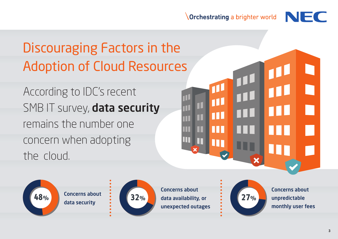

# Discouraging Factors in the Adoption of Cloud Resources

According to IDC's recent SMB IT survey, data security remains the number one concern when adopting the cloud.



Concerns about data security



Concerns about data availability, or **48% 32% 27%**unexpected outages



 $\overline{\mathbf{x}}$ 

Concerns about unpredictable monthly user fees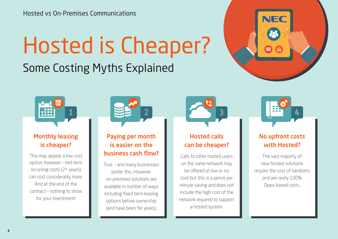# Hosted is Cheaper?

Some Costing Myths Explained





### Monthly leasing is cheaper?

This may appear a low cost option, however – mid term recurring costs (2+ years) can cost considerably more. And at the end of the contract – nothing to show for your investment!



### Paying per month is easier on the business cash flow?

True – and many businesses prefer this. However on-premises solutions are available in number of ways including fixed term leasing options before ownership (and have been for years).



### Hosted calls can be cheaper?

Calls to other hosted users on the same network may be offered at low or no cost but this is a pence per minute saving and does not include the high cost of the network required to support a hosted system.



### No upfront costs with Hosted?

The vast majority of new hosted solutions require the cost of handsets and are rarely 100% Opex-based costs.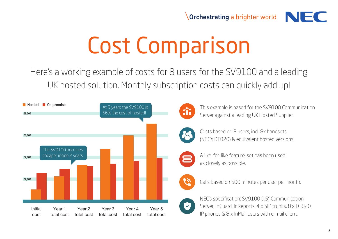# Cost Comparison

Here's a working example of costs for 8 users for the SV9100 and a leading UK hosted solution. Monthly subscription costs can quickly add up!





This example is based for the SV9100 Communication Server against a leading UK Hosted Supplier.



Costs based on 8 users, incl. 8x handsets (NEC's DT820) & equivalent hosted versions.



A like-for-like feature-set has been used as closely as possible.



Calls based on 500 minutes per user per month.



NEC's specification: SV9100 9.5" Communication Server, InGuard, InReports, 4 x SIP trunks, 8 x DT820 IP phones & 8 x InMail users with e-mail client.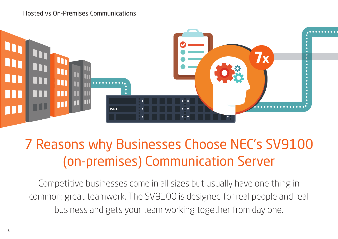#### Hosted vs On-Premises Communications



# 7 Reasons why Businesses Choose NEC's SV9100 (on-premises) Communication Server

Competitive businesses come in all sizes but usually have one thing in common: great teamwork. The SV9100 is designed for real people and real business and gets your team working together from day one.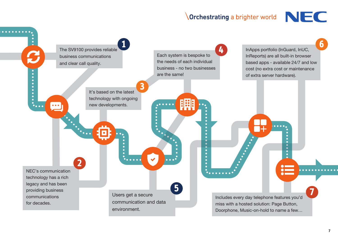

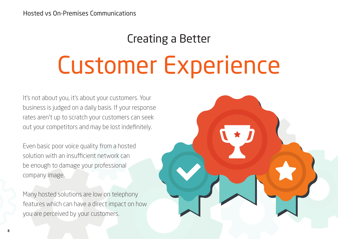# Creating a Better Customer Experience

It's not about you, it's about your customers. Your business is judged on a daily basis. If your response rates aren't up to scratch your customers can seek out your competitors and may be lost indefinitely.

Even basic poor voice quality from a hosted solution with an insufficient network can be enough to damage your professional company image.

Many hosted solutions are low on telephony features which can have a direct impact on how you are perceived by your customers.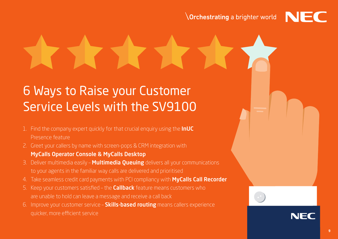6 Ways to Raise your Customer Service Levels with the SV9100

- 1. Find the company expert quickly for that crucial enquiry using the **InUC** Presence feature
- 2. Greet your callers by name with screen-pops & CRM integration with MyCalls Operator Console & MyCalls Desktop
- 3. Deliver multimedia easily **Multimedia Queuing** delivers all your communications to your agents in the familiar way calls are delivered and prioritised
- 4. Take seamless credit card payments with PCI compliancy with **MyCalls Call Recorder**
- 5. Keep your customers satisfied the **Callback** feature means customers who are unable to hold can leave a message and receive a call back
- 6. Improve your customer service **Skills-based routing** means callers experience quicker, more efficient service

NFO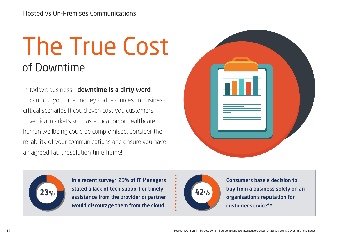# The True Cost of Downtime

In today's business – downtime is a dirty word. It can cost you time, money and resources. In business critical scenarios it could even cost you customers. In vertical markets such as education or healthcare human wellbeing could be compromised. Consider the reliability of your communications and ensure you have an agreed fault resolution time frame!





In a recent survey\* 23% of IT Managers 23% Stated a lack of tech support or timely **23%** 42% assistance from the provider or partner would discourage them from the cloud



Consumers base a decision to buy from a business solely on an organisation's reputation for customer service\*\*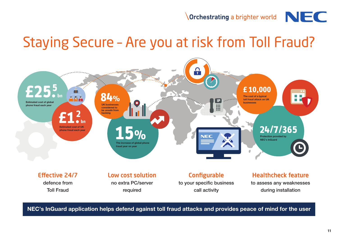## Staying Secure – Are you at risk from Toll Fraud?



NEC's InGuard application helps defend against toll fraud attacks and provides peace of mind for the user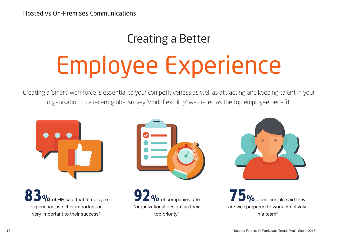## Creating a Better

# Employee Experience

Creating a 'smart' workforce is essential to your competitiveness as well as attracting and keeping talent in your organisation. In a recent global survey 'work flexibility' was rated as the top employee benefit.



**83%** of HR said that 'employee experience' is either important or very important to their success\*



**92%** of companies rate 'organizational design' as their top priority\*



**75%** of millennials said they are well prepared to work effectively in a team\*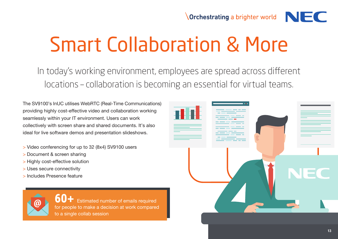# Smart Collaboration & More

In today's working environment, employees are spread across different locations – collaboration is becoming an essential for virtual teams.

The SV9100's InUC utilises WebRTC (Real-Time Communications) providing highly cost-effective video and collaboration working seamlessly within your IT environment. Users can work collectively with screen share and shared documents. It's also ideal for live software demos and presentation slideshows.

- > Video conferencing for up to 32 (8x4) SV9100 users
- > Document & screen sharing
- > Highly cost-effective solution
- > Uses secure connectivity
- > Includes Presence feature



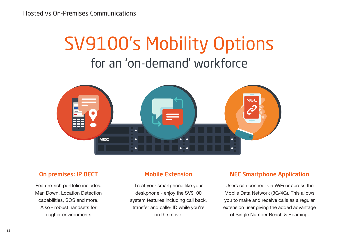# SV9100's Mobility Options for an 'on-demand' workforce



#### On premises: IP DECT

Feature-rich portfolio includes: Man Down, Location Detection capabilities, SOS and more. Also - robust handsets for tougher environments.

#### Mobile Extension

Treat your smartphone like your deskphone - enjoy the SV9100 system features including call back, transfer and caller ID while you're on the move.

#### NEC Smartphone Application

Users can connect via WiFi or across the Mobile Data Network (3G/4G). This allows you to make and receive calls as a regular extension user giving the added advantage of Single Number Reach & Roaming.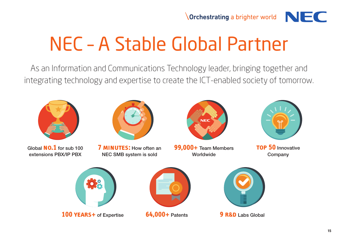

# NEC – A Stable Global Partner

As an Information and Communications Technology leader, bringing together and integrating technology and expertise to create the ICT-enabled society of tomorrow.